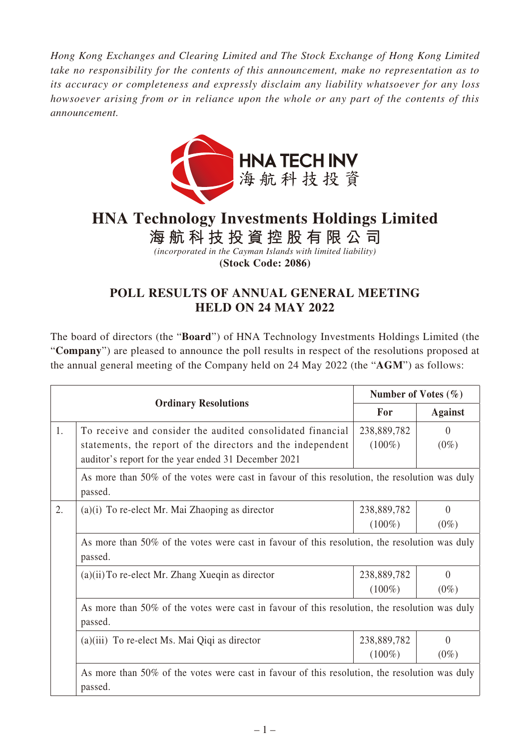*Hong Kong Exchanges and Clearing Limited and The Stock Exchange of Hong Kong Limited take no responsibility for the contents of this announcement, make no representation as to its accuracy or completeness and expressly disclaim any liability whatsoever for any loss howsoever arising from or in reliance upon the whole or any part of the contents of this announcement.*



## **HNA Technology Investments Holdings Limited**

**海航科技投資控股有限公司**

*(incorporated in the Cayman Islands with limited liability)* **(Stock Code: 2086)**

## **POLL RESULTS OF ANNUAL GENERAL MEETING HELD ON 24 MAY 2022**

The board of directors (the "**Board**") of HNA Technology Investments Holdings Limited (the "**Company**") are pleased to announce the poll results in respect of the resolutions proposed at the annual general meeting of the Company held on 24 May 2022 (the "**AGM**") as follows:

|    | <b>Ordinary Resolutions</b>                                                                                                                                                       |                          | Number of Votes $(\% )$ |  |  |
|----|-----------------------------------------------------------------------------------------------------------------------------------------------------------------------------------|--------------------------|-------------------------|--|--|
|    |                                                                                                                                                                                   |                          | <b>Against</b>          |  |  |
| 1. | To receive and consider the audited consolidated financial<br>statements, the report of the directors and the independent<br>auditor's report for the year ended 31 December 2021 | 238,889,782<br>$(100\%)$ | $\Omega$<br>$(0\%)$     |  |  |
|    | As more than 50% of the votes were cast in favour of this resolution, the resolution was duly<br>passed.                                                                          |                          |                         |  |  |
| 2. | $(a)(i)$ To re-elect Mr. Mai Zhaoping as director                                                                                                                                 | 238,889,782<br>$(100\%)$ | $\theta$<br>$(0\%)$     |  |  |
|    | As more than 50% of the votes were cast in favour of this resolution, the resolution was duly<br>passed.                                                                          |                          |                         |  |  |
|    | $(a)(ii)$ To re-elect Mr. Zhang Xueqin as director                                                                                                                                | 238,889,782<br>$(100\%)$ | $\Omega$<br>$(0\%)$     |  |  |
|    | As more than 50% of the votes were cast in favour of this resolution, the resolution was duly<br>passed.                                                                          |                          |                         |  |  |
|    | $(a)(iii)$ To re-elect Ms. Mai Qiqi as director                                                                                                                                   | 238,889,782<br>$(100\%)$ | 0<br>$(0\%)$            |  |  |
|    | As more than 50% of the votes were cast in favour of this resolution, the resolution was duly<br>passed.                                                                          |                          |                         |  |  |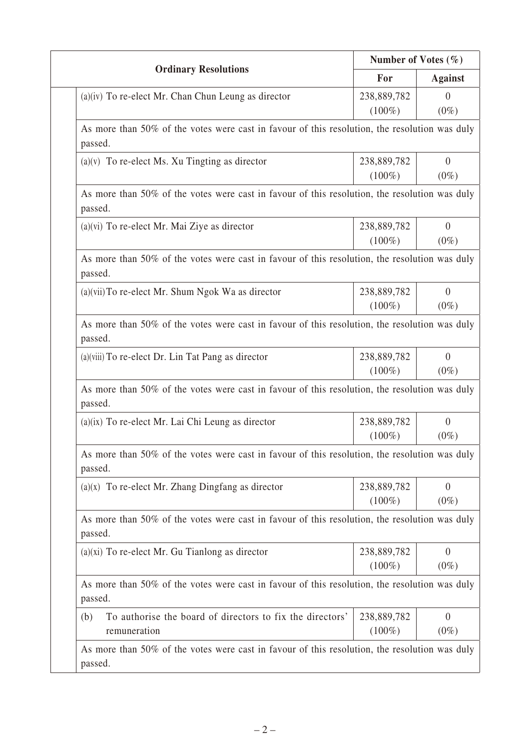| <b>Ordinary Resolutions</b>                                                                              | Number of Votes $(\% )$ |                                                        |  |  |
|----------------------------------------------------------------------------------------------------------|-------------------------|--------------------------------------------------------|--|--|
|                                                                                                          | For                     | <b>Against</b>                                         |  |  |
| $(a)(iv)$ To re-elect Mr. Chan Chun Leung as director                                                    | 238,889,782             | $\overline{0}$                                         |  |  |
|                                                                                                          | $(100\%)$               | $(0\%)$                                                |  |  |
| As more than 50% of the votes were cast in favour of this resolution, the resolution was duly<br>passed. |                         |                                                        |  |  |
| $(a)(v)$ To re-elect Ms. Xu Tingting as director                                                         | 238,889,782             | $\overline{0}$                                         |  |  |
|                                                                                                          | $(100\%)$               | $(0\%)$                                                |  |  |
| As more than 50% of the votes were cast in favour of this resolution, the resolution was duly<br>passed. |                         |                                                        |  |  |
| $(a)(vi)$ To re-elect Mr. Mai Ziye as director                                                           | 238,889,782             | $\theta$                                               |  |  |
|                                                                                                          | $(100\%)$               | $(0\%)$                                                |  |  |
| As more than 50% of the votes were cast in favour of this resolution, the resolution was duly<br>passed. |                         |                                                        |  |  |
| $(a)(vii)$ To re-elect Mr. Shum Ngok Wa as director                                                      | 238,889,782             | $\theta$                                               |  |  |
|                                                                                                          | $(100\%)$               | $(0\%)$                                                |  |  |
| As more than 50% of the votes were cast in favour of this resolution, the resolution was duly<br>passed. |                         |                                                        |  |  |
| (a)(viii) To re-elect Dr. Lin Tat Pang as director                                                       | 238,889,782             | $\overline{0}$                                         |  |  |
|                                                                                                          | $(100\%)$               | $(0\%)$                                                |  |  |
| As more than 50% of the votes were cast in favour of this resolution, the resolution was duly<br>passed. |                         |                                                        |  |  |
| $(a)(ix)$ To re-elect Mr. Lai Chi Leung as director                                                      | 238,889,782             | $\overline{0}$                                         |  |  |
|                                                                                                          | $(100\%)$               | $(0\%)$                                                |  |  |
|                                                                                                          |                         |                                                        |  |  |
| As more than 50% of the votes were cast in favour of this resolution, the resolution was duly<br>passed. |                         |                                                        |  |  |
| $(a)(x)$ To re-elect Mr. Zhang Dingfang as director                                                      | 238,889,782             |                                                        |  |  |
|                                                                                                          | $(100\%)$               |                                                        |  |  |
| As more than 50% of the votes were cast in favour of this resolution, the resolution was duly<br>passed. |                         |                                                        |  |  |
| $(a)(xi)$ To re-elect Mr. Gu Tianlong as director                                                        | 238,889,782             |                                                        |  |  |
|                                                                                                          | $(100\%)$               |                                                        |  |  |
| As more than 50% of the votes were cast in favour of this resolution, the resolution was duly<br>passed. |                         | $\overline{0}$<br>$(0\%)$<br>$\overline{0}$<br>$(0\%)$ |  |  |
| To authorise the board of directors to fix the directors'<br>(b)                                         | 238,889,782             | $\overline{0}$                                         |  |  |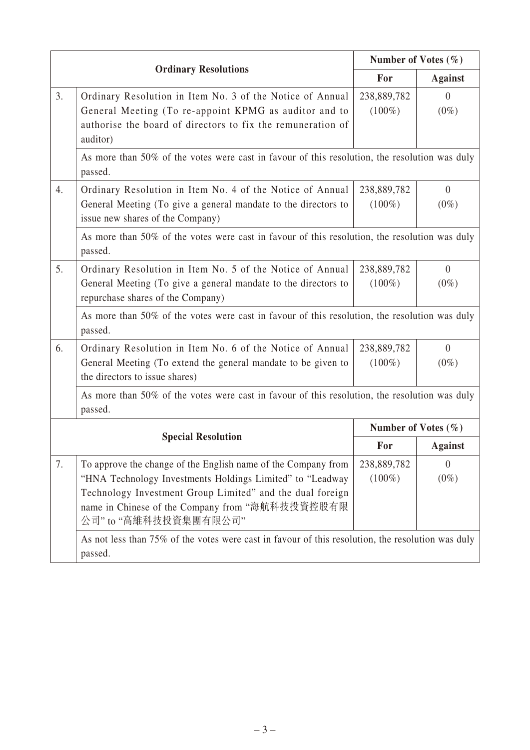|                           | <b>Ordinary Resolutions</b>                                                                                                                                                                                                                                        |                          | Number of Votes $(\% )$   |  |  |  |
|---------------------------|--------------------------------------------------------------------------------------------------------------------------------------------------------------------------------------------------------------------------------------------------------------------|--------------------------|---------------------------|--|--|--|
|                           |                                                                                                                                                                                                                                                                    |                          | <b>Against</b>            |  |  |  |
| 3.                        | Ordinary Resolution in Item No. 3 of the Notice of Annual<br>General Meeting (To re-appoint KPMG as auditor and to<br>authorise the board of directors to fix the remuneration of<br>auditor)                                                                      | 238,889,782<br>$(100\%)$ | $\Omega$<br>$(0\%)$       |  |  |  |
|                           | As more than 50% of the votes were cast in favour of this resolution, the resolution was duly<br>passed.                                                                                                                                                           |                          |                           |  |  |  |
| 4.                        | Ordinary Resolution in Item No. 4 of the Notice of Annual<br>General Meeting (To give a general mandate to the directors to<br>issue new shares of the Company)                                                                                                    | 238,889,782<br>$(100\%)$ | $\overline{0}$<br>$(0\%)$ |  |  |  |
|                           | As more than 50% of the votes were cast in favour of this resolution, the resolution was duly<br>passed.                                                                                                                                                           |                          |                           |  |  |  |
| 5.                        | Ordinary Resolution in Item No. 5 of the Notice of Annual<br>General Meeting (To give a general mandate to the directors to<br>repurchase shares of the Company)                                                                                                   | 238,889,782<br>$(100\%)$ | $\theta$<br>$(0\%)$       |  |  |  |
|                           | As more than 50% of the votes were cast in favour of this resolution, the resolution was duly<br>passed.                                                                                                                                                           |                          |                           |  |  |  |
| 6.                        | Ordinary Resolution in Item No. 6 of the Notice of Annual<br>General Meeting (To extend the general mandate to be given to<br>the directors to issue shares)                                                                                                       | 238,889,782<br>$(100\%)$ | $\Omega$<br>$(0\%)$       |  |  |  |
|                           | As more than 50% of the votes were cast in favour of this resolution, the resolution was duly<br>passed.                                                                                                                                                           |                          |                           |  |  |  |
| <b>Special Resolution</b> |                                                                                                                                                                                                                                                                    | Number of Votes $(\% )$  |                           |  |  |  |
|                           |                                                                                                                                                                                                                                                                    | For                      | <b>Against</b>            |  |  |  |
| 7.                        | To approve the change of the English name of the Company from<br>"HNA Technology Investments Holdings Limited" to "Leadway<br>Technology Investment Group Limited" and the dual foreign<br>name in Chinese of the Company from "海航科技投資控股有限<br>公司"to "高維科技投資集團有限公司" | 238,889,782<br>$(100\%)$ | $\overline{0}$<br>$(0\%)$ |  |  |  |
|                           | As not less than 75% of the votes were cast in favour of this resolution, the resolution was duly<br>passed.                                                                                                                                                       |                          |                           |  |  |  |